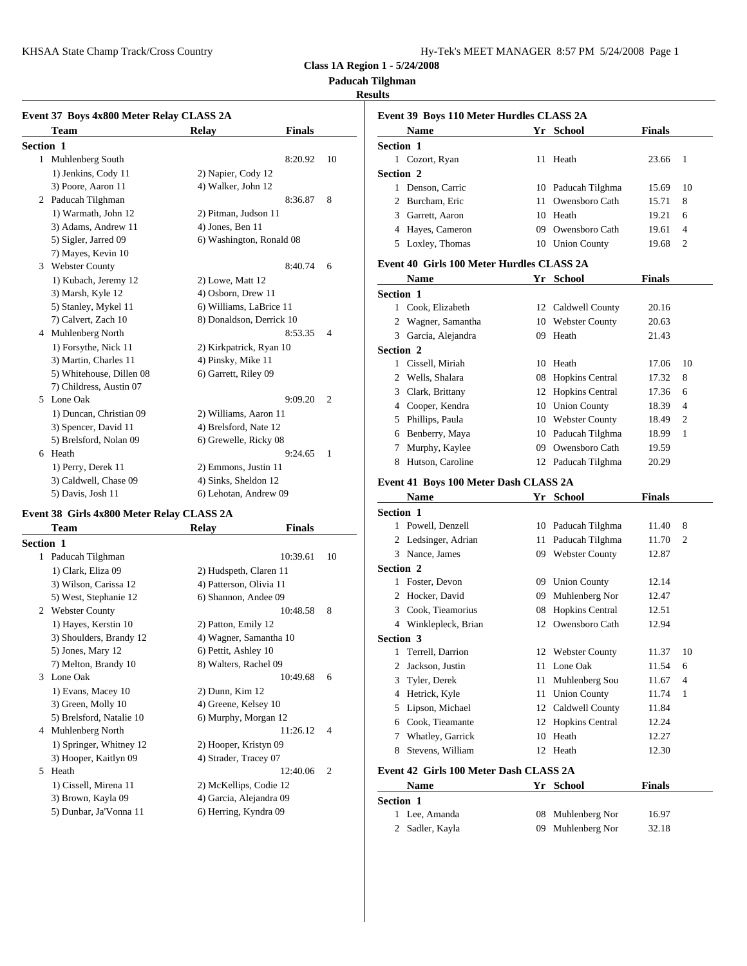KHSAA State Champ Track/Cross Country Hy-Tek's Manager and Text Manager and Hy-Tek's Manager 8:57 PM 577 PM 57

| Hy-Tek's MEET MANAGER 8:57 PM 5/24/2008 Page 1 |  |  |  |
|------------------------------------------------|--|--|--|
|------------------------------------------------|--|--|--|

**Class 1A Region 1 - 5/24/2008**

**Paducah Tilghman**

## **Results**

|           | Event 37 Boys 4x800 Meter Relay CLASS 2A |                          |               |                | Event 39 B                     |
|-----------|------------------------------------------|--------------------------|---------------|----------------|--------------------------------|
|           | <b>Team</b>                              | <b>Relay</b>             | <b>Finals</b> |                | <b>Nam</b>                     |
| Section 1 |                                          |                          |               |                | Section 1                      |
|           | 1 Muhlenberg South                       |                          | 8:20.92       | 10             | 1 Cozor                        |
|           | 1) Jenkins, Cody 11                      | 2) Napier, Cody 12       |               |                | Section 2                      |
|           | 3) Poore, Aaron 11                       | 4) Walker, John 12       |               |                | Denso<br>1                     |
|           | 2 Paducah Tilghman                       |                          | 8:36.87       | 8              | <b>Burch</b><br>$\overline{c}$ |
|           | 1) Warmath, John 12                      | 2) Pitman, Judson 11     |               |                | Garre<br>3                     |
|           | 3) Adams, Andrew 11                      | 4) Jones, Ben 11         |               |                | Hayes<br>4                     |
|           | 5) Sigler, Jarred 09                     | 6) Washington, Ronald 08 |               |                | Loxle<br>5                     |
|           | 7) Mayes, Kevin 10                       |                          |               |                |                                |
| 3         | <b>Webster County</b>                    |                          | 8:40.74       | 6              | Event 40 G                     |
|           | 1) Kubach, Jeremy 12                     | 2) Lowe, Matt 12         |               |                | <b>Nam</b>                     |
|           | 3) Marsh, Kyle 12                        | 4) Osborn, Drew 11       |               |                | Section 1                      |
|           | 5) Stanley, Mykel 11                     | 6) Williams, LaBrice 11  |               |                | 1<br>Cook.                     |
|           | 7) Calvert, Zach 10                      | 8) Donaldson, Derrick 10 |               |                | Wagn<br>2                      |
|           | 4 Muhlenberg North                       |                          | 8:53.35       | $\overline{4}$ | Garci<br>3                     |
|           | 1) Forsythe, Nick 11                     | 2) Kirkpatrick, Ryan 10  |               |                | Section 2                      |
|           | 3) Martin, Charles 11                    | 4) Pinsky, Mike 11       |               |                | Cissel<br>1                    |
|           | 5) Whitehouse, Dillen 08                 | 6) Garrett, Riley 09     |               |                | Wells<br>$\overline{2}$        |
|           | 7) Childress, Austin 07                  |                          |               |                | 3<br>Clark                     |
|           | 5 Lone Oak                               |                          | 9:09.20       | $\overline{2}$ | Coop<br>4                      |
|           | 1) Duncan, Christian 09                  | 2) Williams, Aaron 11    |               |                | Philli<br>5                    |
|           | 3) Spencer, David 11                     | 4) Brelsford, Nate 12    |               |                | Benbe<br>6                     |
|           | 5) Brelsford, Nolan 09                   | 6) Grewelle, Ricky 08    |               |                |                                |
|           | 6 Heath                                  |                          | 9:24.65       | $\mathbf{1}$   | Murp                           |
|           | 1) Perry, Derek 11                       | 2) Emmons, Justin 11     |               |                | 8<br>Hutso                     |
|           | 3) Caldwell, Chase 09                    | 4) Sinks, Sheldon 12     |               |                | Event 41 B                     |
|           | 5) Davis, Josh 11                        | 6) Lehotan, Andrew 09    |               |                | Nam                            |

## **Event 38 Girls 4x800 Meter Relay CLASS 2A**

|                  | <b>Team</b>              | <b>Relay</b>            | <b>Finals</b>              | Powe         |
|------------------|--------------------------|-------------------------|----------------------------|--------------|
| <b>Section 1</b> |                          |                         |                            | Ledsi        |
| 1                | Paducah Tilghman         |                         | 10:39.61<br>10             | Nance<br>3   |
|                  | 1) Clark, Eliza 09       | 2) Hudspeth, Claren 11  |                            | Section 2    |
|                  | 3) Wilson, Carissa 12    | 4) Patterson, Olivia 11 |                            | Foster       |
|                  | 5) West, Stephanie 12    | 6) Shannon, Andee 09    |                            | Hock<br>2    |
| 2                | <b>Webster County</b>    |                         | 8<br>10:48.58              | Cook.<br>3   |
|                  | 1) Hayes, Kerstin 10     | 2) Patton, Emily 12     |                            | Wink<br>4    |
|                  | 3) Shoulders, Brandy 12  | 4) Wagner, Samantha 10  |                            | Section 3    |
|                  | 5) Jones, Mary 12        | 6) Pettit, Ashley 10    |                            | Terrel<br>1  |
|                  | 7) Melton, Brandy 10     | 8) Walters, Rachel 09   |                            | <b>Jacks</b> |
| 3                | Lone Oak                 |                         | 10:49.68<br>6              | Tyler,<br>3  |
|                  | 1) Evans, Macey 10       | 2) Dunn, Kim 12         |                            | Hetric<br>4  |
|                  | 3) Green, Molly 10       | 4) Greene, Kelsey 10    |                            | Lipso<br>5   |
|                  | 5) Brelsford, Natalie 10 | 6) Murphy, Morgan 12    |                            | Cook.<br>6   |
| 4                | Muhlenberg North         |                         | 11:26.12<br>$\overline{4}$ | <b>What</b>  |
|                  | 1) Springer, Whitney 12  | 2) Hooper, Kristyn 09   |                            | Steve<br>8   |
|                  | 3) Hooper, Kaitlyn 09    | 4) Strader, Tracey 07   |                            |              |
| 5                | Heath                    |                         | 12:40.06<br>$\overline{c}$ | Event 42 G   |
|                  | 1) Cissell, Mirena 11    | 2) McKellips, Codie 12  |                            | <b>Nam</b>   |
|                  | 3) Brown, Kayla 09       | 4) Garcia, Alejandra 09 |                            | Section 1    |
|                  | 5) Dunbar, Ja'Vonna 11   | 6) Herring, Kyndra 09   |                            | Lee. $\ell$  |

|                  | Event 39 Boys 110 Meter Hurdles CLASS 2A  |    |                        |               |    |
|------------------|-------------------------------------------|----|------------------------|---------------|----|
|                  | Name                                      |    | Yr School              | Finals        |    |
| <b>Section 1</b> |                                           |    |                        |               |    |
|                  | 1 Cozort, Ryan                            |    | 11 Heath               | 23.66         | 1  |
| <b>Section 2</b> |                                           |    |                        |               |    |
|                  | 1 Denson, Carric                          |    | 10 Paducah Tilghma     | 15.69         | 10 |
|                  | 2 Burcham, Eric                           | 11 | Owensboro Cath         | 15.71         | 8  |
|                  | 3 Garrett, Aaron                          | 10 | Heath                  | 19.21         | 6  |
|                  | 4 Hayes, Cameron                          |    | 09 Owensboro Cath      | 19.61         | 4  |
|                  | 5 Loxley, Thomas                          |    | 10 Union County        | 19.68         | 2  |
|                  | Event 40 Girls 100 Meter Hurdles CLASS 2A |    |                        |               |    |
|                  | Name                                      |    | Yr School              | Finals        |    |
| <b>Section 1</b> |                                           |    |                        |               |    |
|                  | 1 Cook, Elizabeth                         |    | 12 Caldwell County     | 20.16         |    |
|                  | 2 Wagner, Samantha                        |    | 10 Webster County      | 20.63         |    |
|                  | 3 Garcia, Alejandra                       |    | 09 Heath               | 21.43         |    |
| <b>Section 2</b> |                                           |    |                        |               |    |
|                  | 1 Cissell, Miriah                         |    | 10 Heath               | 17.06         | 10 |
|                  | 2 Wells, Shalara                          | 08 | <b>Hopkins Central</b> | 17.32         | 8  |
|                  | 3 Clark, Brittany                         |    | 12 Hopkins Central     | 17.36         | 6  |
|                  | 4 Cooper, Kendra                          |    | 10 Union County        | 18.39         | 4  |
|                  | 5 Phillips, Paula                         |    | 10 Webster County      | 18.49         | 2  |
|                  | 6 Benberry, Maya                          |    | 10 Paducah Tilghma     | 18.99         | 1  |
|                  | 7 Murphy, Kaylee                          |    | 09 Owensboro Cath      | 19.59         |    |
|                  | 8 Hutson, Caroline                        |    | 12 Paducah Tilghma     | 20.29         |    |
|                  | Event 41 Boys 100 Meter Dash CLASS 2A     |    |                        |               |    |
|                  | Name                                      |    | Yr School              | Finals        |    |
| <b>Section 1</b> |                                           |    |                        |               |    |
|                  | 1 Powell, Denzell                         |    | 10 Paducah Tilghma     |               | 8  |
|                  |                                           |    |                        | 11.40         | 2  |
|                  | 2 Ledsinger, Adrian                       | 11 | Paducah Tilghma        | 11.70         |    |
|                  | 3 Nance, James                            |    | 09 Webster County      | 12.87         |    |
| <b>Section 2</b> |                                           |    |                        |               |    |
|                  | 1 Foster, Devon                           |    | 09 Union County        | 12.14         |    |
|                  | 2 Hocker, David                           | 09 | Muhlenberg Nor         | 12.47         |    |
|                  | 3 Cook, Tieamorius                        |    | 08 Hopkins Central     | 12.51         |    |
|                  | 4 Winklepleck, Brian                      |    | 12 Owensboro Cath      | 12.94         |    |
| <b>Section 3</b> |                                           |    |                        |               |    |
|                  | 1 Terrell, Darrion                        |    | 12 Webster County      | 11.37         | 10 |
|                  | 2 Jackson, Justin                         |    | 11 Lone Oak            | 11.54         | 6  |
| 3                | Tyler, Derek                              |    | 11 Muhlenberg Sou      | 11.67         | 4  |
|                  | 4 Hetrick, Kyle                           |    | 11 Union County        | 11.74         | 1  |
|                  | 5 Lipson, Michael                         |    | 12 Caldwell County     | 11.84         |    |
|                  | 6 Cook, Tieamante                         |    | 12 Hopkins Central     | 12.24         |    |
|                  | 7 Whatley, Garrick                        |    | 10 Heath               | 12.27         |    |
| 8                | Stevens, William                          |    | 12 Heath               | 12.30         |    |
|                  | Event 42 Girls 100 Meter Dash CLASS 2A    |    |                        |               |    |
|                  | Name                                      |    | Yr School              | <b>Finals</b> |    |
| Section 1        |                                           |    |                        |               |    |
|                  |                                           |    |                        |               |    |

| гсион |                 |                   |       |
|-------|-----------------|-------------------|-------|
|       | 1 Lee, Amanda   | 08 Muhlenberg Nor | 16.97 |
|       | 2 Sadler, Kayla | 09 Muhlenberg Nor | 32.18 |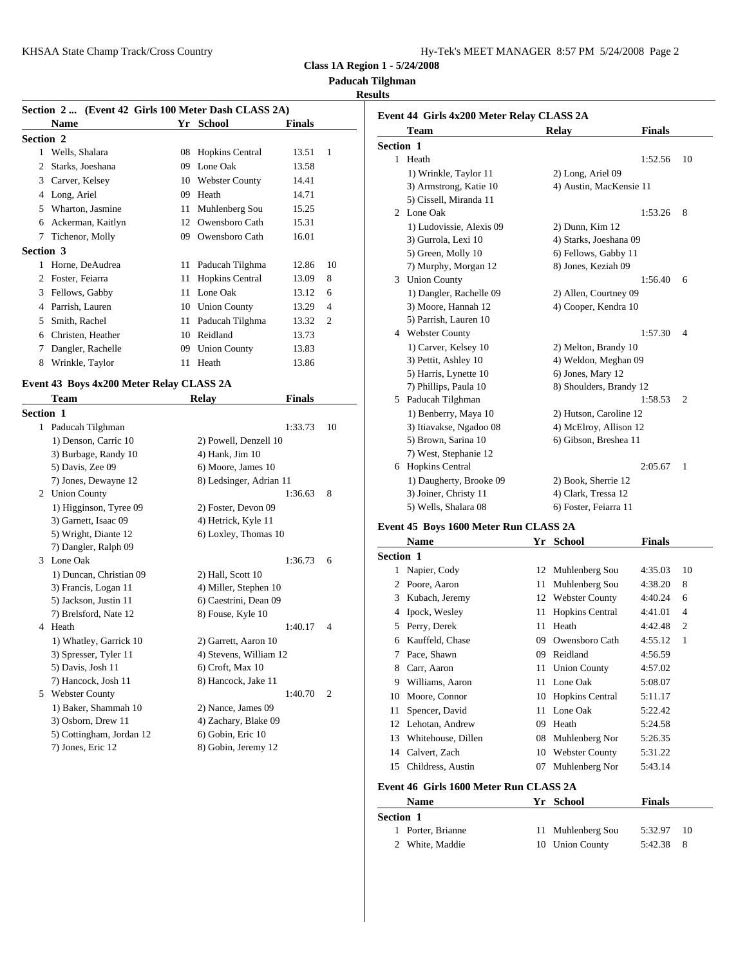|--|--|--|--|

**Paducah Tilghman**

### **Results**

|           | Section 2  (Event 42 Girls 100 Meter Dash CLASS 2A)<br><b>Name</b> |    | Yr School                                  | <b>Finals</b> |                | Event 44 G |                     |
|-----------|--------------------------------------------------------------------|----|--------------------------------------------|---------------|----------------|------------|---------------------|
| Section 2 |                                                                    |    |                                            |               |                |            | Tean                |
|           | 1 Wells, Shalara                                                   |    | 08 Hopkins Central                         | 13.51         | $\mathbf{1}$   | Section 1  |                     |
|           | 2 Starks, Joeshana                                                 |    | 09 Lone Oak                                | 13.58         |                |            | 1 Heath             |
|           | 3 Carver, Kelsey                                                   |    | 10 Webster County                          | 14.41         |                |            | $1)$ W <sub>1</sub> |
|           | 4 Long, Ariel                                                      |    | 09 Heath                                   | 14.71         |                |            | $3)$ Ari            |
|           | 5 Wharton, Jasmine                                                 |    | 11 Muhlenberg Sou                          | 15.25         |                |            | 5) Cis              |
|           | 6 Ackerman, Kaitlyn                                                |    | 12 Owensboro Cath                          | 15.31         |                |            | 2 Lone              |
|           | 7 Tichenor, Molly                                                  |    | 09 Owensboro Cath                          | 16.01         |                |            | $1)$ Lu             |
|           | <b>Section 3</b>                                                   |    |                                            |               |                |            | $3)$ Gu             |
|           | 1 Horne, DeAudrea                                                  |    | 11 Paducah Tilghma                         | 12.86         | 10             |            | $5)$ Gro<br>7) Mu   |
|           | 2 Foster, Feiarra                                                  | 11 | <b>Hopkins Central</b>                     | 13.09         | 8              | 3          | Unior               |
|           | 3 Fellows, Gabby                                                   |    | 11 Lone Oak                                | 13.12         | 6              |            | 1) Da               |
|           | 4 Parrish, Lauren                                                  |    | 10 Union County                            | 13.29         | $\overline{4}$ |            | 3) Mo               |
|           | 5 Smith, Rachel                                                    |    | 11 Paducah Tilghma                         | 13.32         | 2              |            | 5) Par              |
|           | 6 Christen, Heather                                                |    | 10 Reidland                                | 13.73         |                |            | 4 Webs              |
|           | 7 Dangler, Rachelle                                                |    | 09 Union County                            | 13.83         |                |            | $1)$ Ca             |
|           | 8 Wrinkle, Taylor                                                  |    | 11 Heath                                   | 13.86         |                |            | 3) Pet              |
|           |                                                                    |    |                                            |               |                |            | 5) Ha               |
|           | Event 43 Boys 4x200 Meter Relay CLASS 2A                           |    |                                            |               |                |            | 7) Phi              |
|           | Team                                                               |    | <b>Relay</b>                               | <b>Finals</b> |                |            | 5 Paduc             |
|           | Section 1                                                          |    |                                            |               |                |            | $1)$ Be             |
|           | 1 Paducah Tilghman                                                 |    |                                            | 1:33.73       | 10             |            | 3) Itia             |
|           | 1) Denson, Carric 10                                               |    | 2) Powell, Denzell 10                      |               |                |            | $5)$ Bro            |
|           | 3) Burbage, Randy 10                                               |    | 4) Hank, Jim 10                            |               |                |            | $7)$ We             |
|           | 5) Davis, Zee 09                                                   |    | 6) Moore, James 10                         |               |                |            | 6 Hopk              |
|           | 7) Jones, Dewayne 12                                               |    | 8) Ledsinger, Adrian 11                    |               |                |            | 1) Da               |
|           | 2 Union County                                                     |    |                                            | 1:36.63       | 8              |            | 3) Joi              |
|           | 1) Higginson, Tyree 09                                             |    | 2) Foster, Devon 09                        |               |                |            | 5) We               |
|           | 3) Garnett, Isaac 09                                               |    | 4) Hetrick, Kyle 11                        |               |                | Event 45 B |                     |
|           | 5) Wright, Diante 12                                               |    | 6) Loxley, Thomas 10                       |               |                |            | Nam                 |
|           | 7) Dangler, Ralph 09                                               |    |                                            |               |                | Section 1  |                     |
|           | 3 Lone Oak                                                         |    |                                            | 1:36.73       | 6              |            | 1 Napie             |
|           | 1) Duncan, Christian 09                                            |    | 2) Hall, Scott 10                          |               |                |            | 2 Poore             |
|           | 3) Francis, Logan 11                                               |    | 4) Miller, Stephen 10                      |               |                |            | 3 Kuba              |
|           | 5) Jackson, Justin 11                                              |    | 6) Caestrini, Dean 09                      |               |                |            | 4 Ipock             |
|           | 7) Brelsford, Nate 12                                              |    | 8) Fouse, Kyle 10                          |               |                |            | Perry.              |
|           | 4 Heath                                                            |    |                                            | 1:40.17       | 4              | 5.         | 6 Kauff             |
|           | 1) Whatley, Garrick 10                                             |    | 2) Garrett, Aaron 10                       |               |                |            |                     |
|           | 3) Spresser, Tyler 11                                              |    | 4) Stevens, William 12                     |               |                | 7          | Pace,               |
|           | 5) Davis, Josh 11                                                  |    | 6) Croft, Max 10                           |               |                | 8          | Carr,               |
|           | 7) Hancock, Josh 11<br>5 Webster County                            |    | 8) Hancock, Jake 11                        | 1:40.70       | 2              | 9          | Willia              |
|           | 1) Baker, Shammah 10                                               |    |                                            |               |                | 10         | Moor                |
|           | 3) Osborn, Drew 11                                                 |    | 2) Nance, James 09<br>4) Zachary, Blake 09 |               |                | 11         | Spenc               |
|           | 5) Cottingham, Jordan 12                                           |    | 6) Gobin, Eric 10                          |               |                | 12         | Lehot               |
|           | 7) Jones, Eric 12                                                  |    | 8) Gobin, Jeremy 12                        |               |                | 13         | White               |
|           |                                                                    |    |                                            |               |                |            | 14 Calve            |

|   | Event 44 Girls 4x200 Meter Relay CLASS 2A<br>Team |    | Relay                   | <b>Finals</b> |                |
|---|---------------------------------------------------|----|-------------------------|---------------|----------------|
|   | <b>Section 1</b>                                  |    |                         |               |                |
|   | 1 Heath                                           |    |                         | 1:52.56       | 10             |
|   | 1) Wrinkle, Taylor 11                             |    | 2) Long, Ariel 09       |               |                |
|   | 3) Armstrong, Katie 10                            |    | 4) Austin, MacKensie 11 |               |                |
|   | 5) Cissell, Miranda 11                            |    |                         |               |                |
|   | 2 Lone Oak                                        |    |                         | 1:53.26       | 8              |
|   | 1) Ludovissie, Alexis 09                          |    | 2) Dunn, Kim 12         |               |                |
|   | 3) Gurrola, Lexi 10                               |    | 4) Starks, Joeshana 09  |               |                |
|   | 5) Green, Molly 10                                |    | 6) Fellows, Gabby 11    |               |                |
|   | 7) Murphy, Morgan 12                              |    | 8) Jones, Keziah 09     |               |                |
|   | 3 Union County                                    |    |                         | 1:56.40       | 6              |
|   | 1) Dangler, Rachelle 09                           |    | 2) Allen, Courtney 09   |               |                |
|   | 3) Moore, Hannah 12                               |    | 4) Cooper, Kendra 10    |               |                |
|   | 5) Parrish, Lauren 10                             |    |                         |               |                |
|   | 4 Webster County                                  |    |                         | 1:57.30       | $\overline{4}$ |
|   | 1) Carver, Kelsey 10                              |    | 2) Melton, Brandy 10    |               |                |
|   | 3) Pettit, Ashley 10                              |    | 4) Weldon, Meghan 09    |               |                |
|   | 5) Harris, Lynette 10                             |    | 6) Jones, Mary 12       |               |                |
|   | 7) Phillips, Paula 10                             |    | 8) Shoulders, Brandy 12 |               |                |
|   | 5 Paducah Tilghman                                |    |                         | 1:58.53       | 2              |
|   | 1) Benberry, Maya 10                              |    | 2) Hutson, Caroline 12  |               |                |
|   | 3) Itiavakse, Ngadoo 08                           |    | 4) McElroy, Allison 12  |               |                |
|   | 5) Brown, Sarina 10                               |    | 6) Gibson, Breshea 11   |               |                |
|   | 7) West, Stephanie 12                             |    |                         |               |                |
|   | 6 Hopkins Central                                 |    |                         | 2:05.67       | 1              |
|   | 1) Daugherty, Brooke 09                           |    | 2) Book, Sherrie 12     |               |                |
|   | 3) Joiner, Christy 11                             |    | 4) Clark, Tressa 12     |               |                |
|   | 5) Wells, Shalara 08                              |    | 6) Foster, Feiarra 11   |               |                |
|   | Event 45 Boys 1600 Meter Run CLASS 2A             |    |                         |               |                |
|   | Name                                              |    | Yr School               | <b>Finals</b> |                |
|   | <b>Section 1</b>                                  |    |                         |               |                |
|   | 1 Napier, Cody                                    |    | 12 Muhlenberg Sou       | 4:35.03       | 10             |
|   | 2 Poore, Aaron                                    | 11 | Muhlenberg Sou          | 4:38.20       | 8              |
| 3 | Kubach, Jeremy                                    | 12 | <b>Webster County</b>   | 4:40.24       | 6              |
| 4 | Ipock, Wesley                                     | 11 | <b>Hopkins Central</b>  | 4:41.01       | 4              |
|   | 5 Perry, Derek                                    | 11 | Heath                   | 4:42.48       | 2              |
| 6 | Kauffeld, Chase                                   | 09 | Owensboro Cath          | 4:55.12       | 1              |
|   |                                                   |    |                         |               |                |

# **Name Yr School Finals Section 1** 1 Porter, Brianne 11 Muhlenberg Sou 5:32.97 10 2 White, Maddie 10 Union County 5:42.38 8

**Event 46 Girls 1600 Meter Run CLASS 2A**

 Pace, Shawn 09 Reidland 4:56.59 Carr, Aaron 11 Union County 4:57.02 Williams, Aaron 11 Lone Oak 5:08.07 Moore, Connor 10 Hopkins Central 5:11.17 Spencer, David 11 Lone Oak 5:22.42 Lehotan, Andrew 09 Heath 5:24.58 Whitehouse, Dillen 08 Muhlenberg Nor 5:26.35 14 Calvert, Zach 10 Webster County 5:31.22 Childress, Austin 07 Muhlenberg Nor 5:43.14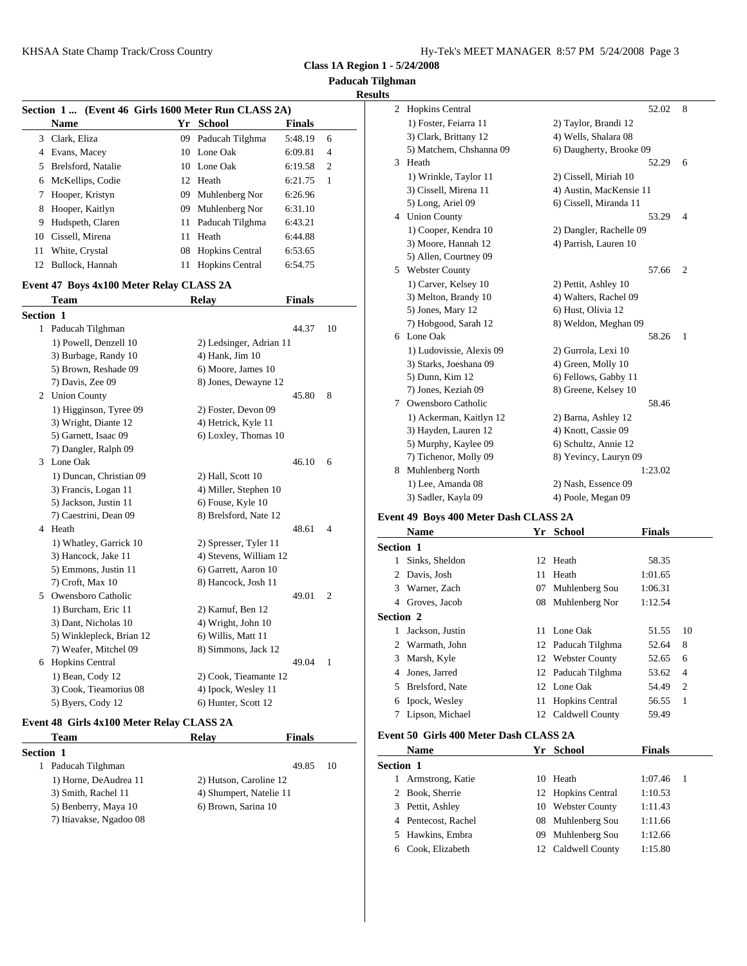**Class 1A Region 1 - 5/24/2008**

**Paducah Tilghman Results**

# **Section 1 ... (Event 46 Girls 1600 Meter Run CLASS 2A) Name Yr School Finals** 3 Clark, Eliza 09 Paducah Tilghma 5:48.19 6 4 Evans, Macey 10 Lone Oak 6:09.81 4 5 Brelsford, Natalie 10 Lone Oak 6:19.58 2 6 McKellips, Codie 12 Heath 6:21.75 1 7 Hooper, Kristyn 09 Muhlenberg Nor 6:26.96 8 Hooper, Kaitlyn 09 Muhlenberg Nor 6:31.10 9 Hudspeth, Claren 11 Paducah Tilghma 6:43.21 10 Cissell, Mirena 11 Heath 6:44.88 11 White, Crystal 08 Hopkins Central 6:53.65 12 Bullock, Hannah 11 Hopkins Central 6:54.75

#### **Event 47 Boys 4x100 Meter Relay CLASS 2A**

|           | <b>Team</b>              | <b>Relay</b>            | <b>Finals</b> |                |                | 3) Me         |
|-----------|--------------------------|-------------------------|---------------|----------------|----------------|---------------|
| Section 1 |                          |                         |               |                |                | $5)$ Jor      |
|           | 1 Paducah Tilghman       |                         | 44.37         | 10             |                | 7) Ho         |
|           | 1) Powell, Denzell 10    | 2) Ledsinger, Adrian 11 |               |                |                | 6 Lone        |
|           | 3) Burbage, Randy 10     | 4) Hank, Jim 10         |               |                |                | $1)$ Lu       |
|           | 5) Brown, Reshade 09     | 6) Moore, James 10      |               |                |                | 3) Sta        |
|           | 7) Davis, Zee 09         | 8) Jones, Dewayne 12    |               |                |                | 5) Du         |
|           | 2 Union County           |                         | 45.80         | 8              |                | $7)$ Jor      |
|           | 1) Higginson, Tyree 09   | 2) Foster, Devon 09     |               |                | 7              | Owen          |
|           | 3) Wright, Diante 12     | 4) Hetrick, Kyle 11     |               |                |                | $1)$ Ac       |
|           | 5) Garnett, Isaac 09     | 6) Loxley, Thomas 10    |               |                |                | 3) Ha         |
|           | 7) Dangler, Ralph 09     |                         |               |                |                | 5) Mu         |
|           | 3 Lone Oak               |                         | 46.10         | 6              |                | 7) Tic        |
|           | 1) Duncan, Christian 09  | 2) Hall, Scott 10       |               |                | 8              | Muhl          |
|           | 3) Francis, Logan 11     | 4) Miller, Stephen 10   |               |                |                | $1)$ Le       |
|           | 5) Jackson, Justin 11    | 6) Fouse, Kyle 10       |               |                |                | $3)$ Sac      |
|           | 7) Caestrini, Dean 09    | 8) Brelsford, Nate 12   |               |                | Event 49 B     |               |
| 4         | Heath                    |                         | 48.61         | $\overline{4}$ |                | <b>Nam</b>    |
|           | 1) Whatley, Garrick 10   | 2) Spresser, Tyler 11   |               |                | Section 1      |               |
|           | 3) Hancock, Jake 11      | 4) Stevens, William 12  |               |                | $\mathbf{1}$   | Sinks         |
|           | 5) Emmons, Justin 11     | 6) Garrett, Aaron 10    |               |                | 2              | Davis         |
|           | 7) Croft, Max 10         | 8) Hancock, Josh 11     |               |                | 3              | Warn          |
|           | 5 Owensboro Catholic     |                         | 49.01         | $\overline{2}$ | 4              | Grove         |
|           | 1) Burcham, Eric 11      | 2) Kamuf, Ben 12        |               |                |                |               |
|           | 3) Dant, Nicholas 10     | 4) Wright, John 10      |               |                | Section 2      |               |
|           | 5) Winklepleck, Brian 12 | 6) Willis, Matt 11      |               |                | 1              | <b>Jacks</b>  |
|           | 7) Weafer, Mitchel 09    | 8) Simmons, Jack 12     |               |                | $\overline{c}$ | Warn          |
|           | 6 Hopkins Central        |                         | 49.04         | 1              | 3              | Marsh         |
|           | 1) Bean, Cody 12         | 2) Cook, Tieamante 12   |               |                | 4              | Jones         |
|           | 3) Cook, Tieamorius 08   | 4) Ipock, Wesley 11     |               |                | 5              | <b>Brelst</b> |
|           | 5) Byers, Cody 12        | 6) Hunter, Scott 12     |               |                | 6              | Ipock         |
|           |                          |                         |               |                | $\mathbf{r}$   | $\mathbf{r}$  |

#### **Event 48 Girls 4x100 Meter Relay CLASS 2A**

| Team                    | <b>Relay</b>            | <b>Finals</b> | Event 50 G               |
|-------------------------|-------------------------|---------------|--------------------------|
| <b>Section 1</b>        |                         |               | <b>Nam</b>               |
| Paducah Tilghman        |                         | 49.85<br>10   | Section 1                |
| 1) Horne, DeAudrea 11   | 2) Hutson, Caroline 12  |               | Arms                     |
| 3) Smith, Rachel 11     | 4) Shumpert, Natelie 11 |               | 2 Book.                  |
| 5) Benberry, Maya 10    | 6) Brown, Sarina 10     |               | Pettit.<br>$\mathcal{R}$ |
| 7) Itiavakse, Ngadoo 08 |                         |               | Pente                    |
|                         |                         |               |                          |

| 2 | <b>Hopkins Central</b>   | 52.02                   | 8              |
|---|--------------------------|-------------------------|----------------|
|   | 1) Foster, Feiarra 11    | 2) Taylor, Brandi 12    |                |
|   | 3) Clark, Brittany 12    | 4) Wells, Shalara 08    |                |
|   | 5) Matchem, Chshanna 09  | 6) Daugherty, Brooke 09 |                |
| 3 | Heath                    | 52.29                   | 6              |
|   | 1) Wrinkle, Taylor 11    | 2) Cissell, Miriah 10   |                |
|   | 3) Cissell, Mirena 11    | 4) Austin, MacKensie 11 |                |
|   | 5) Long, Ariel 09        | 6) Cissell, Miranda 11  |                |
|   | 4 Union County           | 53.29                   | $\overline{4}$ |
|   | 1) Cooper, Kendra 10     | 2) Dangler, Rachelle 09 |                |
|   | 3) Moore, Hannah 12      | 4) Parrish, Lauren 10   |                |
|   | 5) Allen, Courtney 09    |                         |                |
| 5 | <b>Webster County</b>    | 57.66                   | $\overline{2}$ |
|   | 1) Carver, Kelsey 10     | 2) Pettit, Ashley 10    |                |
|   | 3) Melton, Brandy 10     | 4) Walters, Rachel 09   |                |
|   | 5) Jones, Mary 12        | 6) Hust, Olivia 12      |                |
|   | 7) Hobgood, Sarah 12     | 8) Weldon, Meghan 09    |                |
| 6 | Lone Oak                 | 58.26                   | 1              |
|   | 1) Ludovissie, Alexis 09 | 2) Gurrola, Lexi 10     |                |
|   | 3) Starks, Joeshana 09   | 4) Green, Molly 10      |                |
|   | 5) Dunn, Kim 12          | 6) Fellows, Gabby 11    |                |
|   | 7) Jones, Keziah 09      | 8) Greene, Kelsey 10    |                |
| 7 | Owensboro Catholic       | 58.46                   |                |
|   | 1) Ackerman, Kaitlyn 12  | 2) Barna, Ashley 12     |                |
|   | 3) Hayden, Lauren 12     | 4) Knott, Cassie 09     |                |
|   | 5) Murphy, Kaylee 09     | 6) Schultz, Annie 12    |                |
|   | 7) Tichenor, Molly 09    | 8) Yevincy, Lauryn 09   |                |
| 8 | Muhlenberg North         | 1:23.02                 |                |
|   | 1) Lee, Amanda 08        | 2) Nash, Essence 09     |                |
|   | 3) Sadler, Kayla 09      | 4) Poole, Megan 09      |                |

#### **Event 49 Boys 400 Meter Dash CLASS 2A**

|           | <b>Name</b>                                                            | Yr | School             | <b>Finals</b> |                |
|-----------|------------------------------------------------------------------------|----|--------------------|---------------|----------------|
| Section 1 |                                                                        |    |                    |               |                |
|           | Sinks, Sheldon                                                         |    | 12 Heath           | 58.35         |                |
|           | 2 Davis, Josh                                                          |    | 11 Heath           | 1:01.65       |                |
|           | 3 Warner, Zach                                                         | 07 | Muhlenberg Sou     | 1:06.31       |                |
| 4         | Groves, Jacob                                                          |    | 08 Muhlenberg Nor  | 1:12.54       |                |
| Section 2 |                                                                        |    |                    |               |                |
| 1.        | Jackson, Justin                                                        |    | 11 Lone Oak        | 51.55         | 10             |
|           | 2 Warmath, John                                                        |    | 12 Paducah Tilghma | 52.64         | 8              |
|           | 3 Marsh, Kyle                                                          |    | 12 Webster County  | 52.65         | 6              |
| 4         | Jones, Jarred                                                          |    | 12 Paducah Tilghma | 53.62         | $\overline{4}$ |
|           | 5 Brelsford, Nate                                                      |    | 12 Lone Oak        | 54.49         | 2              |
|           | 6 Ipock, Wesley                                                        |    | 11 Hopkins Central | 56.55         | - 1            |
|           | Lipson, Michael                                                        |    | 12 Caldwell County | 59.49         |                |
|           | $F_{\rm front}$ =0. $C_{\rm bulge}$ 400 Meter Deck $C_{\rm I}$ A GC 2A |    |                    |               |                |

# **Event 50 Girls 400 Meter Dash CLASS 2A**

|                  | <b>Name</b>         | Yr  | <b>School</b>         | <b>Finals</b> |  |
|------------------|---------------------|-----|-----------------------|---------------|--|
| <b>Section 1</b> |                     |     |                       |               |  |
|                  | Armstrong, Katie    |     | 10 Heath              | 1:07.46       |  |
|                  | 2 Book, Sherrie     |     | 12 Hopkins Central    | 1:10.53       |  |
|                  | 3 Pettit, Ashley    | 10. | <b>Webster County</b> | 1:11.43       |  |
|                  | 4 Pentecost, Rachel |     | 08 Muhlenberg Sou     | 1:11.66       |  |
|                  | 5 Hawkins, Embra    | 09. | Muhlenberg Sou        | 1:12.66       |  |
| 6                | Cook, Elizabeth     |     | 12 Caldwell County    | 1:15.80       |  |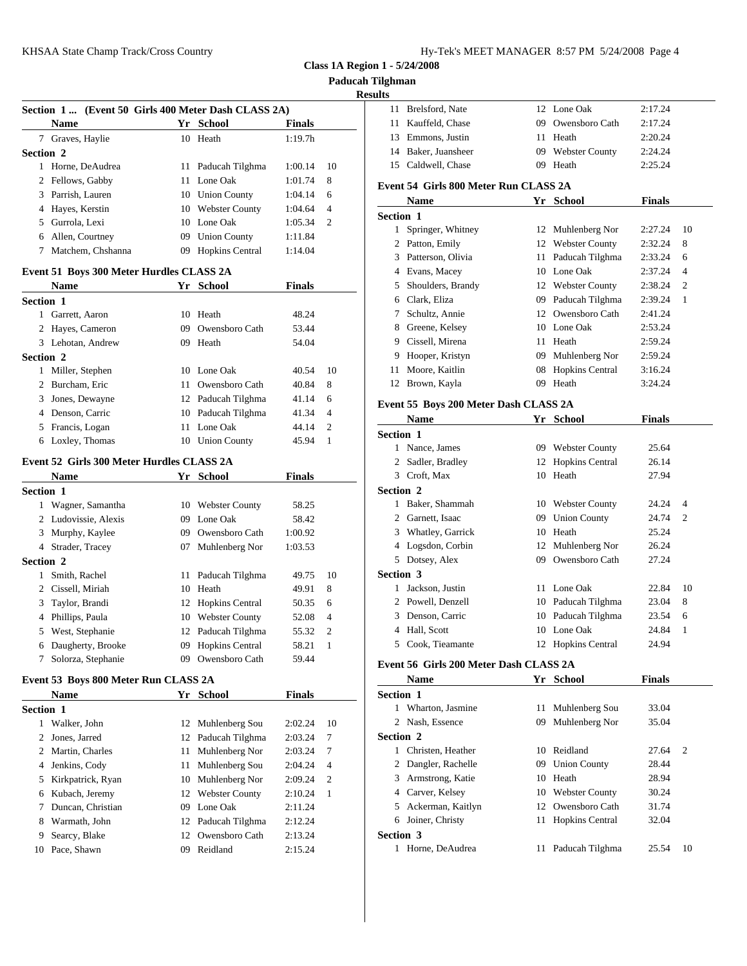**Paducah Tilghman**

## **Result**

|                  | Section 1  (Event 50 Girls 400 Meter Dash CLASS 2A) |    |                    |               |                | <b>Brelst</b><br>11     |
|------------------|-----------------------------------------------------|----|--------------------|---------------|----------------|-------------------------|
|                  | <b>Name</b>                                         |    | Yr School          | <b>Finals</b> |                | Kauff<br>11             |
|                  | 7 Graves, Haylie                                    |    | 10 Heath           | 1:19.7h       |                | 13<br><b>Emm</b>        |
| <b>Section 2</b> |                                                     |    |                    |               |                | Baker<br>14             |
|                  | 1 Horne, DeAudrea                                   |    | 11 Paducah Tilghma | 1:00.14       | 10             | Caldy<br>15             |
|                  | 2 Fellows, Gabby                                    |    | 11 Lone Oak        | 1:01.74       | 8              | Event 54 G              |
| 3                | Parrish, Lauren                                     |    | 10 Union County    | 1:04.14       | 6              | Nam                     |
|                  | 4 Hayes, Kerstin                                    |    | 10 Webster County  | 1:04.64       | $\overline{4}$ | Section 1               |
|                  | 5 Gurrola, Lexi                                     |    | 10 Lone Oak        | 1:05.34       | 2              | Spring<br>$\mathbf{1}$  |
|                  | 6 Allen, Courtney                                   |    | 09 Union County    | 1:11.84       |                | 2<br>Pattor             |
|                  | 7 Matchem, Chshanna                                 |    | 09 Hopkins Central | 1:14.04       |                | 3 Patter                |
|                  | Event 51 Boys 300 Meter Hurdles CLASS 2A            |    |                    |               |                | 4 Evans                 |
|                  | Name                                                |    | Yr School          | <b>Finals</b> |                | Shoul<br>5              |
| Section 1        |                                                     |    |                    |               |                | Clark<br>6              |
|                  | 1 Garrett, Aaron                                    |    | 10 Heath           | 48.24         |                | Schul<br>7              |
|                  | 2 Hayes, Cameron                                    |    | 09 Owensboro Cath  | 53.44         |                | 8<br>Green              |
|                  | 3 Lehotan, Andrew                                   |    | 09 Heath           | 54.04         |                | Cissel<br>9             |
| Section 2        |                                                     |    |                    |               |                | 9<br>Hoop               |
| 1                | Miller, Stephen                                     |    | 10 Lone Oak        | 40.54         | 10             | Moor<br>11              |
|                  | 2 Burcham, Eric                                     |    | 11 Owensboro Cath  | 40.84         | 8              | <b>Brow</b><br>12       |
| 3                | Jones, Dewayne                                      |    | 12 Paducah Tilghma | 41.14         | 6              |                         |
|                  | 4 Denson, Carric                                    |    | 10 Paducah Tilghma | 41.34         | 4              | Event 55 B              |
|                  | 5 Francis, Logan                                    |    | 11 Lone Oak        | 44.14         | 2              | <b>Nam</b>              |
|                  | 6 Loxley, Thomas                                    |    | 10 Union County    | 45.94         | 1              | <b>Section 1</b>        |
|                  |                                                     |    |                    |               |                | 1 Nance                 |
|                  | Event 52 Girls 300 Meter Hurdles CLASS 2A           |    |                    |               |                | 2<br>Sadle              |
|                  | Name                                                |    | Yr School          | <b>Finals</b> |                | 3<br>Croft.             |
| <b>Section 1</b> |                                                     |    |                    |               |                | <b>Section 2</b>        |
|                  | 1 Wagner, Samantha                                  |    | 10 Webster County  | 58.25         |                | 1 Baker                 |
|                  | 2 Ludovissie, Alexis                                |    | 09 Lone Oak        | 58.42         |                | $\overline{2}$<br>Garne |
|                  | 3 Murphy, Kaylee                                    |    | 09 Owensboro Cath  | 1:00.92       |                | <b>What</b><br>3        |
|                  | 4 Strader, Tracey                                   | 07 | Muhlenberg Nor     | 1:03.53       |                | 4 Logso                 |
| <b>Section 2</b> |                                                     |    |                    |               |                | 5<br>Dotse              |
| 1                | Smith, Rachel                                       |    | 11 Paducah Tilghma | 49.75         | 10             | Section 3               |
|                  | 2 Cissell, Miriah                                   | 10 | Heath              | 49.91         | 8              | <b>Jacks</b><br>1       |
| 3                | Taylor, Brandi                                      |    | 12 Hopkins Central | 50.35         | 6              | 2 Powe                  |
|                  | 4 Phillips, Paula                                   |    | 10 Webster County  | 52.08         | 4              | 3 Denso                 |
| 5                | West, Stephanie                                     |    | 12 Paducah Tilghma | 55.32         | 2              | 4<br>Hall,              |
| 6                | Daugherty, Brooke                                   |    | 09 Hopkins Central | 58.21         | 1              | 5<br>Cook,              |
|                  | 7 Solorza, Stephanie                                |    | 09 Owensboro Cath  | 59.44         |                | Event 56 G              |
|                  | Event 53 Boys 800 Meter Run CLASS 2A                |    |                    |               |                | <b>Nam</b>              |
|                  | <b>Name</b>                                         |    | Yr School          | <b>Finals</b> |                | Section 1               |
| Section 1        |                                                     |    |                    |               |                | 1 Whar                  |
|                  | 1 Walker, John                                      |    | 12 Muhlenberg Sou  | 2:02.24       | 10             | 2 Nash,                 |
| 2                | Jones, Jarred                                       | 12 | Paducah Tilghma    | 2:03.24       | 7              | Section 2               |
| 2                | Martin, Charles                                     | 11 | Muhlenberg Nor     | 2:03.24       | 7              | Christ<br>$\mathbf{1}$  |
| 4                | Jenkins, Cody                                       | 11 | Muhlenberg Sou     | 2:04.24       | 4              | Dang<br>2               |
| 5                | Kirkpatrick, Ryan                                   | 10 | Muhlenberg Nor     | 2:09.24       | 2              | 3<br>Arms               |
| 6                | Kubach, Jeremy                                      |    | 12 Webster County  | 2:10.24       | $\mathbf{1}$   | 4 Carve                 |
| 7                | Duncan, Christian                                   |    | 09 Lone Oak        | 2:11.24       |                | 5 Acker                 |
|                  | Warmath, John                                       |    |                    |               |                | Joiner<br>6             |
| 8                |                                                     |    | 12 Paducah Tilghma | 2:12.24       |                | Section 3               |
| 9                | Searcy, Blake                                       |    | 12 Owensboro Cath  | 2:13.24       |                | 1 Horne                 |
| 10               | Pace, Shawn                                         |    | 09 Reidland        | 2:15.24       |                |                         |

| lts              |                                        |    |                    |               |    |
|------------------|----------------------------------------|----|--------------------|---------------|----|
| 11               | Brelsford, Nate                        |    | 12 Lone Oak        | 2:17.24       |    |
| 11               | Kauffeld, Chase                        | 09 | Owensboro Cath     | 2:17.24       |    |
|                  | 13 Emmons, Justin                      |    | 11 Heath           | 2:20.24       |    |
|                  | 14 Baker, Juansheer                    |    | 09 Webster County  | 2:24.24       |    |
|                  | 15 Caldwell, Chase                     |    | 09 Heath           | 2:25.24       |    |
|                  | Event 54  Girls 800 Meter Run CLASS 2A |    |                    |               |    |
|                  | <b>Name</b>                            |    | Yr School          | <b>Finals</b> |    |
| <b>Section 1</b> |                                        |    |                    |               |    |
| 1                | Springer, Whitney                      |    | 12 Muhlenberg Nor  | 2:27.24       | 10 |
|                  | 2 Patton, Emily                        |    | 12 Webster County  | 2:32.24       | 8  |
|                  | 3 Patterson, Olivia                    |    | 11 Paducah Tilghma | 2:33.24       | 6  |
|                  | 4 Evans, Macey                         |    | 10 Lone Oak        | 2:37.24       | 4  |
|                  | 5 Shoulders, Brandy                    |    | 12 Webster County  | 2:38.24       | 2  |
|                  | 6 Clark, Eliza                         |    | 09 Paducah Tilghma | 2:39.24       | 1  |
|                  | 7 Schultz, Annie                       |    | 12 Owensboro Cath  | 2:41.24       |    |
|                  | 8 Greene, Kelsey                       |    | 10 Lone Oak        | 2:53.24       |    |
|                  | 9 Cissell, Mirena                      |    | 11 Heath           | 2:59.24       |    |
|                  | 9 Hooper, Kristyn                      |    | 09 Muhlenberg Nor  | 2:59.24       |    |
|                  | 11 Moore, Kaitlin                      |    | 08 Hopkins Central | 3:16.24       |    |
|                  | 12 Brown, Kayla                        |    | 09 Heath           | 3:24.24       |    |
|                  | Event 55 Boys 200 Meter Dash CLASS 2A  |    |                    |               |    |
|                  | <b>Name</b>                            |    | Yr School          | <b>Finals</b> |    |
| <b>Section 1</b> |                                        |    |                    |               |    |
|                  | 1 Nance, James                         |    | 09 Webster County  | 25.64         |    |
|                  | 2 Sadler, Bradley                      |    | 12 Hopkins Central | 26.14         |    |
|                  | 3 Croft, Max                           |    | 10 Heath           | 27.94         |    |
| <b>Section 2</b> |                                        |    |                    |               |    |
|                  | 1 Baker, Shammah                       |    | 10 Webster County  | 24.24         | 4  |
|                  | 2 Garnett, Isaac                       |    | 09 Union County    | 24.74         | 2  |
|                  | 3 Whatley, Garrick                     |    | 10 Heath           | 25.24         |    |
|                  | 4 Logsdon, Corbin                      |    | 12 Muhlenberg Nor  | 26.24         |    |
|                  | 5 Dotsey, Alex                         |    | 09 Owensboro Cath  | 27.24         |    |
| <b>Section 3</b> |                                        |    |                    |               |    |
|                  | 1 Jackson, Justin                      |    | 11 Lone Oak        | 22.84         | 10 |
|                  | 2 Powell, Denzell                      |    | 10 Paducah Tilghma | 23.04         | 8  |
|                  | 3 Denson, Carric                       |    | 10 Paducah Tilghma | 23.54         | 6  |
|                  | 4 Hall, Scott                          |    | 10 Lone Oak        | 24.84         | 1  |
|                  | 5 Cook, Tieamante                      |    | 12 Hopkins Central | 24.94         |    |
|                  | Event 56 Girls 200 Meter Dash CLASS 2A |    |                    |               |    |
|                  | Name                                   |    | Yr School          | <b>Finals</b> |    |
| <b>Section 1</b> |                                        |    |                    |               |    |
|                  | 1 Wharton, Jasmine                     |    | 11 Muhlenberg Sou  | 33.04         |    |
|                  | 2 Nash, Essence                        |    | 09 Muhlenberg Nor  | 35.04         |    |
| <b>Section 2</b> |                                        |    |                    |               |    |
|                  | 1 Christen, Heather                    |    | 10 Reidland        | 27.64         | 2  |
|                  | 2 Dangler, Rachelle                    |    | 09 Union County    | 28.44         |    |
|                  | 3 Armstrong, Katie                     |    | 10 Heath           | 28.94         |    |
|                  | 4 Carver, Kelsey                       |    | 10 Webster County  | 30.24         |    |
|                  | 5 Ackerman, Kaitlyn                    |    | 12 Owensboro Cath  | 31.74         |    |
|                  | 6 Joiner, Christy                      |    | 11 Hopkins Central | 32.04         |    |
| <b>Section 3</b> |                                        |    |                    |               |    |
|                  | 1 Horne, DeAudrea                      |    | 11 Paducah Tilghma | 25.54         | 10 |
|                  |                                        |    |                    |               |    |
|                  |                                        |    |                    |               |    |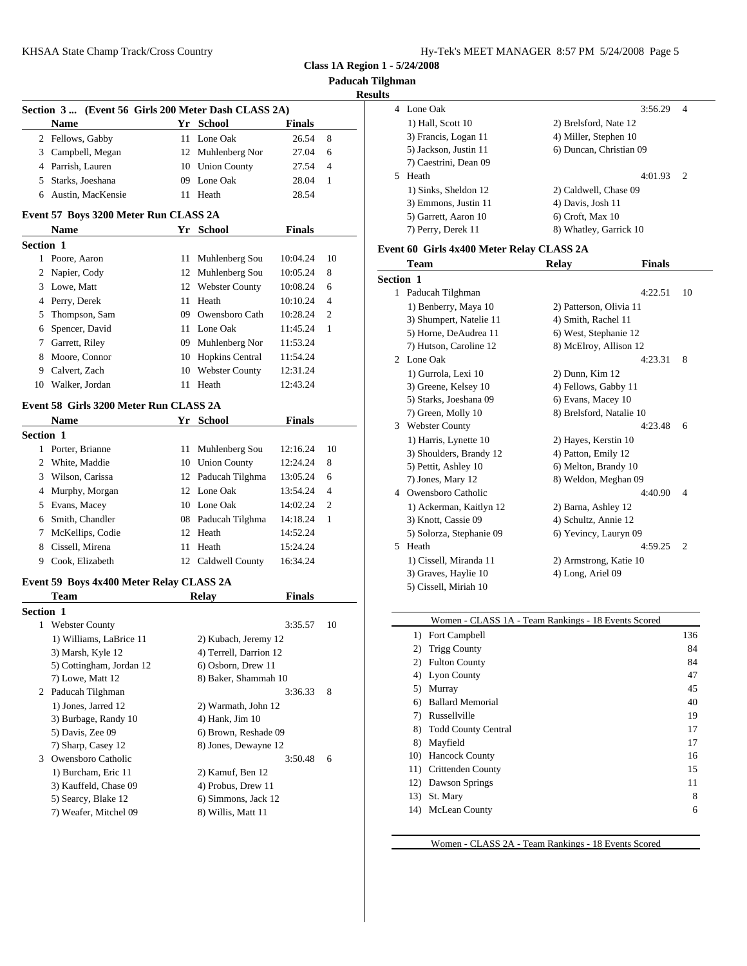**Paducah Tilghman**

|             |                                                     |                        |               |                | <b>Kesults</b>   |
|-------------|-----------------------------------------------------|------------------------|---------------|----------------|------------------|
|             | Section 3  (Event 56 Girls 200 Meter Dash CLASS 2A) |                        |               |                | 4 Lone           |
|             | <b>Name</b>                                         | Yr School              | <b>Finals</b> |                | 1) Ha            |
|             | 2 Fellows, Gabby                                    | 11 Lone Oak            | 26.54         | 8              | 3) Fra           |
|             | 3 Campbell, Megan                                   | 12 Muhlenberg Nor      | 27.04         | 6              | 5) Jac           |
|             | 4 Parrish, Lauren                                   | 10 Union County        | 27.54         | $\overline{4}$ | 7) Ca            |
|             | 5 Starks, Joeshana                                  | 09 Lone Oak            | 28.04         | 1              | 5 Heath          |
|             | 6 Austin, MacKensie                                 | 11 Heath               | 28.54         |                | $1)$ Sir         |
|             |                                                     |                        |               |                | 3) En            |
|             | Event 57 Boys 3200 Meter Run CLASS 2A               |                        |               |                | 5) Ga            |
|             | <b>Name</b>                                         | Yr School              | <b>Finals</b> |                | 7) Per           |
| Section 1   |                                                     |                        |               |                | Event 60 G       |
|             | 1 Poore, Aaron                                      | 11 Muhlenberg Sou      | 10:04.24      | 10             | Tean             |
|             | 2 Napier, Cody                                      | 12 Muhlenberg Sou      | 10:05.24      | 8              | <b>Section 1</b> |
|             | 3 Lowe, Matt                                        | 12 Webster County      | 10:08.24      | 6              | 1 Paduc          |
|             | 4 Perry, Derek                                      | 11 Heath               | 10:10.24      | 4              |                  |
|             | 5 Thompson, Sam                                     | 09 Owensboro Cath      | 10:28.24      | 2              | 1) Be            |
| 6           | Spencer, David                                      | 11 Lone Oak            | 11:45.24      | 1              | 3) Shi<br>5) Ho  |
| $7^{\circ}$ | Garrett, Riley                                      | 09 Muhlenberg Nor      | 11:53.24      |                | 7) Hu            |
|             | 8 Moore, Connor                                     | 10 Hopkins Central     | 11:54.24      |                | 2 Lone           |
|             | 9 Calvert, Zach                                     | 10 Webster County      | 12:31.24      |                | 1) Gu            |
|             | 10 Walker, Jordan                                   | 11 Heath               | 12:43.24      |                | 3) Gro           |
|             |                                                     |                        |               |                | 5) Sta           |
|             | Event 58 Girls 3200 Meter Run CLASS 2A              |                        |               |                | 7) Gro           |
|             | <b>Name</b>                                         | Yr School              | <b>Finals</b> |                | 3<br>Webs        |
| Section 1   |                                                     |                        |               |                | 1) Ha            |
|             | 1 Porter, Brianne                                   | 11 Muhlenberg Sou      | 12:16.24      | 10             | 3) Sh            |
|             | 2 White, Maddie                                     | 10 Union County        | 12:24.24      | 8              | 5) Pet           |
|             | 3 Wilson, Carissa                                   | 12 Paducah Tilghma     | 13:05.24      | 6              | 7) Jor           |
|             | 4 Murphy, Morgan                                    | 12 Lone Oak            | 13:54.24      | 4              | 4<br>Owen        |
|             | 5 Evans, Macey                                      | 10 Lone Oak            | 14:02.24      | 2              | 1) Ac            |
|             | 6 Smith, Chandler                                   | 08 Paducah Tilghma     | 14:18.24      | 1              | 3) Kn            |
| 7           | McKellips, Codie                                    | 12 Heath               | 14:52.24      |                | 5) Sol           |
|             | 8 Cissell, Mirena                                   | 11 Heath               | 15:24.24      |                | 5 Heath          |
|             | 9 Cook, Elizabeth                                   | 12 Caldwell County     | 16:34.24      |                | 1) Cis           |
|             |                                                     |                        |               |                | 3) Gra           |
|             | Event 59 Boys 4x400 Meter Relay CLASS 2A            |                        |               |                | 5) Cis           |
|             | Team                                                | Relay                  | <b>Finals</b> |                |                  |
| Section 1   |                                                     |                        |               |                |                  |
|             | 1 Webster County                                    |                        | 3:35.57       | 10             |                  |
|             | 1) Williams, LaBrice 11                             | 2) Kubach, Jeremy 12   |               |                | 1)               |
|             | 3) Marsh, Kyle 12                                   | 4) Terrell, Darrion 12 |               |                | 2)               |
|             | 5) Cottingham, Jordan 12                            | 6) Osborn, Drew 11     |               |                | 2)               |
|             | 7) Lowe, Matt 12                                    | 8) Baker, Shammah 10   |               |                | 4)               |
| 2           | Paducah Tilghman                                    |                        | 3:36.33       | 8              | 5)               |
|             | 1) Jones, Jarred 12                                 | 2) Warmath, John 12    |               |                | 6)               |
|             | 3) Burbage, Randy 10                                | 4) Hank, Jim 10        |               |                | 7)               |
|             | 5) Davis, Zee 09                                    | 6) Brown, Reshade 09   |               |                | 8)               |
|             | 7) Sharp, Casey 12                                  | 8) Jones, Dewayne 12   |               |                | 8)               |
| 3           | Owensboro Catholic                                  |                        | 3:50.48       | 6              | 10)              |
|             | 1) Burcham, Eric 11                                 | 2) Kamuf, Ben 12       |               |                | 11)<br>12)       |
|             | 3) Kauffeld, Chase 09                               | 4) Probus, Drew 11     |               |                | 13)              |
|             | 5) Searcy, Blake 12                                 | 6) Simmons, Jack 12    |               |                | 14)              |
|             | 7) Weafer, Mitchel 09                               | 8) Willis, Matt 11     |               |                |                  |
|             |                                                     |                        |               |                |                  |

| Results               |                         |
|-----------------------|-------------------------|
| 4 Lone Oak            | 3:56.29<br>4            |
| 1) Hall, Scott 10     | 2) Brelsford, Nate 12   |
| 3) Francis, Logan 11  | 4) Miller, Stephen 10   |
| 5) Jackson, Justin 11 | 6) Duncan, Christian 09 |
| 7) Caestrini, Dean 09 |                         |
| Heath<br>5.           | 4:01.93<br>2            |
| 1) Sinks, Sheldon 12  | 2) Caldwell, Chase 09   |
| 3) Emmons, Justin 11  | 4) Davis, Josh 11       |
| 5) Garrett, Aaron 10  | $6$ ) Croft, Max 10     |
| 7) Perry, Derek 11    | 8) Whatley, Garrick 10  |
|                       |                         |

# **Girls 4x400 Meter Relay CLASS 2A**

|                  | <b>Team</b>              | <b>Relay</b>             | <b>Finals</b> |                |
|------------------|--------------------------|--------------------------|---------------|----------------|
| <b>Section 1</b> |                          |                          |               |                |
|                  | 1 Paducah Tilghman       |                          | 4:22.51       | 10             |
|                  | 1) Benberry, Maya 10     | 2) Patterson, Olivia 11  |               |                |
|                  | 3) Shumpert, Natelie 11  | 4) Smith, Rachel 11      |               |                |
|                  | 5) Horne, DeAudrea 11    | 6) West, Stephanie 12    |               |                |
|                  | 7) Hutson, Caroline 12   | 8) McElroy, Allison 12   |               |                |
| $\mathfrak{D}$   | Lone Oak                 |                          | 4:23.31       | 8              |
|                  | 1) Gurrola, Lexi 10      | 2) Dunn, Kim 12          |               |                |
|                  | 3) Greene, Kelsey 10     | 4) Fellows, Gabby 11     |               |                |
|                  | 5) Starks, Joeshana 09   | 6) Evans, Macey 10       |               |                |
|                  | 7) Green, Molly 10       | 8) Brelsford, Natalie 10 |               |                |
| 3                | <b>Webster County</b>    |                          | 4:23.48       | 6              |
|                  | 1) Harris, Lynette 10    | 2) Hayes, Kerstin 10     |               |                |
|                  | 3) Shoulders, Brandy 12  | 4) Patton, Emily 12      |               |                |
|                  | 5) Pettit, Ashley 10     | 6) Melton, Brandy 10     |               |                |
|                  | 7) Jones, Mary 12        | 8) Weldon, Meghan 09     |               |                |
|                  | 4 Owensboro Catholic     |                          | 4:40.90       | $\overline{4}$ |
|                  | 1) Ackerman, Kaitlyn 12  | 2) Barna, Ashley 12      |               |                |
|                  | 3) Knott, Cassie 09      | 4) Schultz, Annie 12     |               |                |
|                  | 5) Solorza, Stephanie 09 | 6) Yevincy, Lauryn 09    |               |                |
| 5                | Heath                    |                          | 4:59.25       | $\overline{2}$ |
|                  | 1) Cissell, Miranda 11   | 2) Armstrong, Katie 10   |               |                |
|                  | 3) Graves, Haylie 10     | 4) Long, Ariel 09        |               |                |
|                  | 5) Cissell, Miriah 10    |                          |               |                |
|                  |                          |                          |               |                |

|     | Women - CLASS 1A - Team Rankings - 18 Events Scored |     |  |
|-----|-----------------------------------------------------|-----|--|
| 1)  | Fort Campbell                                       | 136 |  |
| 2)  | <b>Trigg County</b>                                 | 84  |  |
| 2)  | <b>Fulton County</b>                                | 84  |  |
| 4)  | <b>Lyon County</b>                                  | 47  |  |
| 5)  | Murray                                              | 45  |  |
| 6)  | <b>Ballard Memorial</b>                             | 40  |  |
| 7)  | Russellville                                        | 19  |  |
| 8)  | <b>Todd County Central</b>                          | 17  |  |
| 8)  | Mayfield                                            | 17  |  |
| 10) | <b>Hancock County</b>                               | 16  |  |
| 11) | <b>Crittenden County</b>                            | 15  |  |
| 12) | Dawson Springs                                      | 11  |  |
| 13) | St. Mary                                            | 8   |  |
| 14) | McLean County                                       | 6   |  |
|     |                                                     |     |  |

Women - CLASS 2A - Team Rankings - 18 Events Scored